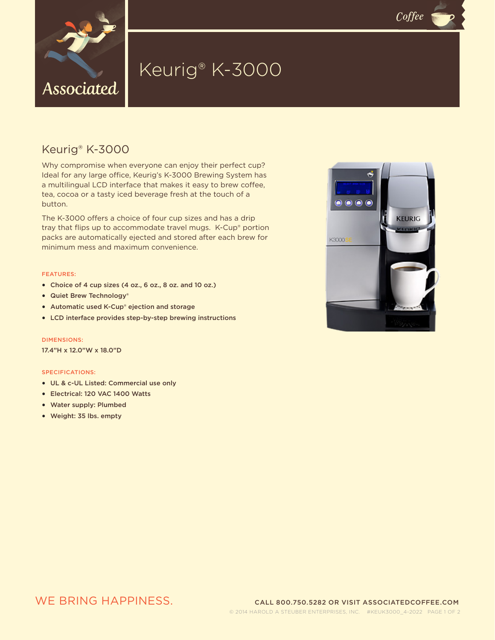

# Keurig® K-3000

## Keurig® K-3000

Why compromise when everyone can enjoy their perfect cup? Ideal for any large office, Keurig's K-3000 Brewing System has a multilingual LCD interface that makes it easy to brew coffee, tea, cocoa or a tasty iced beverage fresh at the touch of a button.

The K-3000 offers a choice of four cup sizes and has a drip tray that flips up to accommodate travel mugs. K-Cup® portion packs are automatically ejected and stored after each brew for minimum mess and maximum convenience.

#### FEATURES:

- Choice of 4 cup sizes (4 oz., 6 oz., 8 oz. and 10 oz.)
- Quiet Brew Technology®
- Automatic used K-Cup® ejection and storage
- LCD interface provides step-by-step brewing instructions

DIMENSIONS:

17.4"H x 12.0"W x 18.0"D

#### SPECIFICATIONS:

- UL & c-UL Listed: Commercial use only
- Electrical: 120 VAC 1400 Watts
- Water supply: Plumbed
- Weight: 35 lbs. empty



 $C$ offee